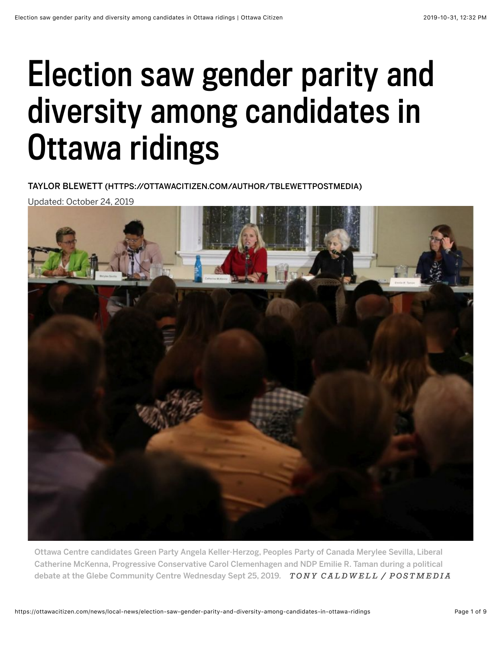# Election saw gender parity and diversity among candidates in Ottawa ridings

[TAYLOR BLEWETT \(HTTPS://OTTAWACITIZEN.COM/AUTHOR/TBLEWETTPOSTMEDIA\)](https://ottawacitizen.com/author/tblewettpostmedia)

Updated: October 24, 2019



Ottawa Centre candidates Green Party Angela Keller-Herzog, Peoples Party of Canada Merylee Sevilla, Liberal Catherine McKenna, Progressive Conservative Carol Clemenhagen and NDP Emilie R. Taman during a political debate at the Glebe Community Centre Wednesday Sept 25, 2019. *TONY CALDWELL / POSTMEDIA*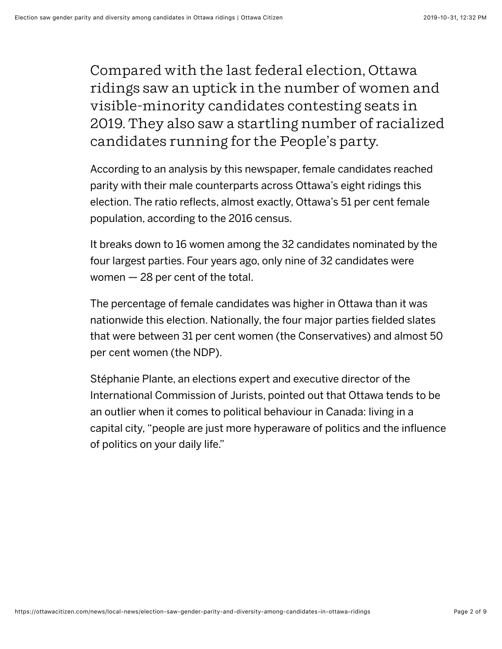Compared with the last federal election, Ottawa ridings saw an uptick in the number of women and visible-minority candidates contesting seats in 2019. They also saw a startling number of racialized candidates running for the People's party.

According to an analysis by this newspaper, female candidates reached parity with their male counterparts across Ottawa's eight ridings this election. The ratio reflects, almost exactly, Ottawa's 51 per cent female population, according to the 2016 census.

It breaks down to 16 women among the 32 candidates nominated by the four largest parties. Four years ago, only nine of 32 candidates were women — 28 per cent of the total.

The percentage of female candidates was higher in Ottawa than it was nationwide this election. Nationally, the four major parties fielded slates that were between 31 per cent women (the Conservatives) and almost 50 per cent women (the NDP).

Stéphanie Plante, an elections expert and executive director of the International Commission of Jurists, pointed out that Ottawa tends to be an outlier when it comes to political behaviour in Canada: living in a capital city, "people are just more hyperaware of politics and the influence of politics on your daily life."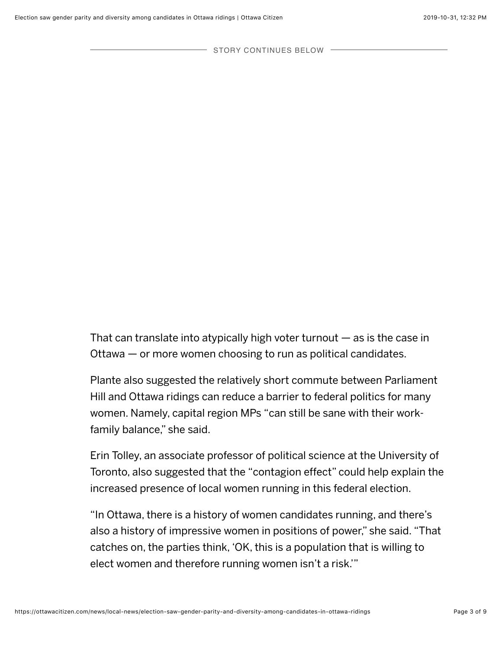- STORY CONTINUES BELOW -

That can translate into atypically high voter turnout  $-$  as is the case in Ottawa — or more women choosing to run as political candidates.

Plante also suggested the relatively short commute between Parliament Hill and Ottawa ridings can reduce a barrier to federal politics for many women. Namely, capital region MPs "can still be sane with their workfamily balance," she said.

Erin Tolley, an associate professor of political science at the University of Toronto, also suggested that the "contagion effect" could help explain the increased presence of local women running in this federal election.

"In Ottawa, there is a history of women candidates running, and there's also a history of impressive women in positions of power," she said. "That catches on, the parties think, 'OK, this is a population that is willing to elect women and therefore running women isn't a risk.'"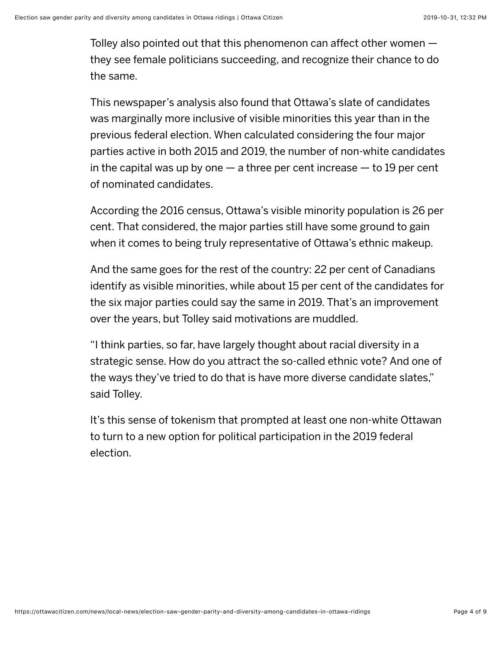Tolley also pointed out that this phenomenon can affect other women they see female politicians succeeding, and recognize their chance to do the same.

This newspaper's analysis also found that Ottawa's slate of candidates was marginally more inclusive of visible minorities this year than in the previous federal election. When calculated considering the four major parties active in both 2015 and 2019, the number of non-white candidates in the capital was up by one  $-$  a three per cent increase  $-$  to 19 per cent of nominated candidates.

According the 2016 census, Ottawa's visible minority population is 26 per cent. That considered, the major parties still have some ground to gain when it comes to being truly representative of Ottawa's ethnic makeup.

And the same goes for the rest of the country: 22 per cent of Canadians identify as visible minorities, while about 15 per cent of the candidates for the six major parties could say the same in 2019. That's an improvement over the years, but Tolley said motivations are muddled.

"I think parties, so far, have largely thought about racial diversity in a strategic sense. How do you attract the so-called ethnic vote? And one of the ways they've tried to do that is have more diverse candidate slates," said Tolley.

It's this sense of tokenism that prompted at least one non-white Ottawan to turn to a new option for political participation in the 2019 federal election.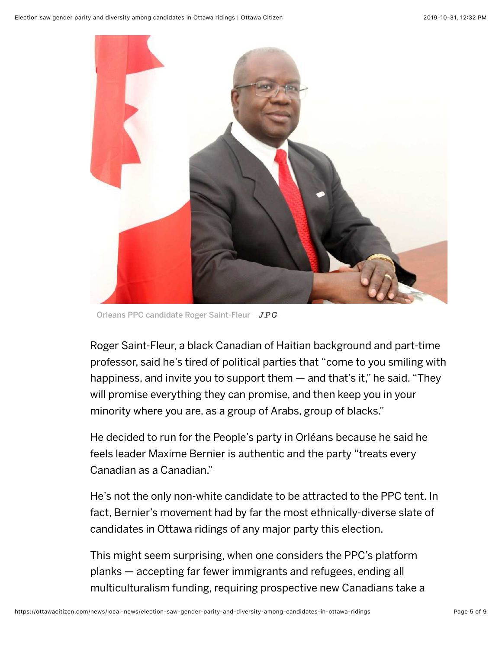

Orleans PPC candidate Roger Saint-Fleur *JPG*

Roger Saint-Fleur, a black Canadian of Haitian background and part-time professor, said he's tired of political parties that "come to you smiling with happiness, and invite you to support them  $-$  and that's it," he said. "They will promise everything they can promise, and then keep you in your minority where you are, as a group of Arabs, group of blacks."

He decided to run for the People's party in Orléans because he said he feels leader Maxime Bernier is authentic and the party "treats every Canadian as a Canadian."

He's not the only non-white candidate to be attracted to the PPC tent. In fact, Bernier's movement had by far the most ethnically-diverse slate of candidates in Ottawa ridings of any major party this election.

This might seem surprising, when one considers the PPC's platform planks — accepting far fewer immigrants and refugees, ending all multiculturalism funding, requiring prospective new Canadians take a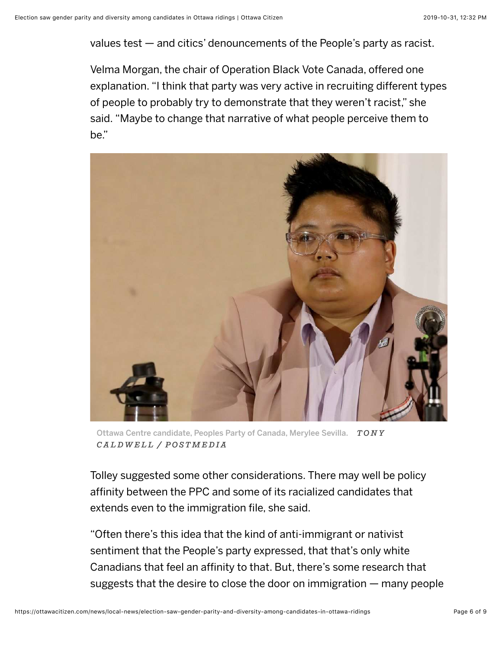values test — and citics' denouncements of the People's party as racist.

Velma Morgan, the chair of Operation Black Vote Canada, offered one explanation. "I think that party was very active in recruiting different types of people to probably try to demonstrate that they weren't racist," she said. "Maybe to change that narrative of what people perceive them to be."



Ottawa Centre candidate, Peoples Party of Canada, Merylee Sevilla. *TONY CALDWELL / POSTMEDIA*

Tolley suggested some other considerations. There may well be policy affinity between the PPC and some of its racialized candidates that extends even to the immigration file, she said.

"Often there's this idea that the kind of anti-immigrant or nativist sentiment that the People's party expressed, that that's only white Canadians that feel an affinity to that. But, there's some research that suggests that the desire to close the door on immigration — many people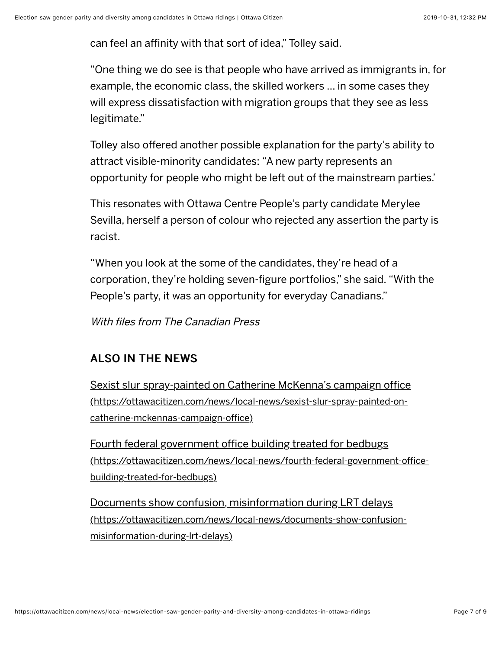can feel an affinity with that sort of idea," Tolley said.

"One thing we do see is that people who have arrived as immigrants in, for example, the economic class, the skilled workers … in some cases they will express dissatisfaction with migration groups that they see as less legitimate."

Tolley also offered another possible explanation for the party's ability to attract visible-minority candidates: "A new party represents an opportunity for people who might be left out of the mainstream parties.'

This resonates with Ottawa Centre People's party candidate Merylee Sevilla, herself a person of colour who rejected any assertion the party is racist.

"When you look at the some of the candidates, they're head of a corporation, they're holding seven-figure portfolios," she said. "With the People's party, it was an opportunity for everyday Canadians."

With files from The Canadian Press

### **ALSO IN THE NEWS**

[Sexist slur spray-painted on Catherine McKenna's campaign office](https://ottawacitizen.com/news/local-news/sexist-slur-spray-painted-on-catherine-mckennas-campaign-office) (https://ottawacitizen.com/news/local-news/sexist-slur-spray-painted-oncatherine-mckennas-campaign-office)

[Fourth federal government office building treated for bedbugs](https://ottawacitizen.com/news/local-news/fourth-federal-government-office-building-treated-for-bedbugs) (https://ottawacitizen.com/news/local-news/fourth-federal-government-officebuilding-treated-for-bedbugs)

[Documents show confusion, misinformation during LRT delays](https://ottawacitizen.com/news/local-news/documents-show-confusion-misinformation-during-lrt-delays) (https://ottawacitizen.com/news/local-news/documents-show-confusionmisinformation-during-lrt-delays)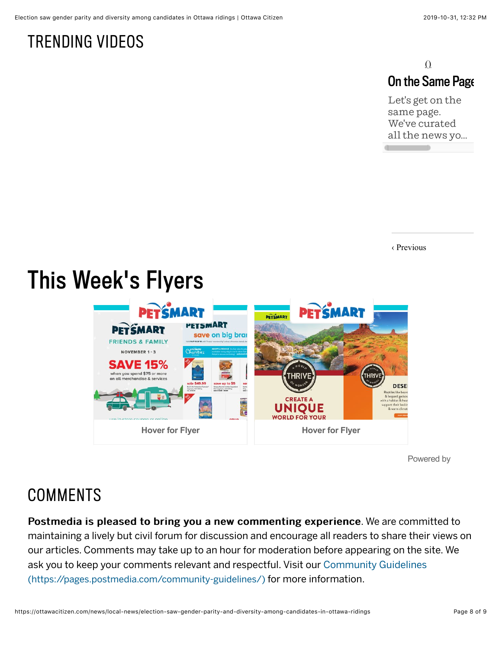### TRENDING VIDEOS

### $\Omega$ On the Same Page

Let's get on the same page. We've curated all the news yo… need to know in

‹ Previous

# This Week's Flyers



[Powered by](http://ottawacitizen.com/flyercity?utm_source=fm&utm_medium=fm_26388&utm_term=footer&utm_campaign=wishabi_1_0&traffic_source=destination_module_inline&locale=en-ca)

## COMMENTS

Postmedia is pleased to bring you a new commenting experience. We are committed to maintaining a lively but civil forum for discussion and encourage all readers to share their views on our articles. Comments may take up to an hour for moderation before appearing on the site. We [ask you to keep your comments relevant and respectful. Visit our Community Guidelines](https://pages.postmedia.com/community-guidelines/) (https://pages.postmedia.com/community-guidelines/) for more information.